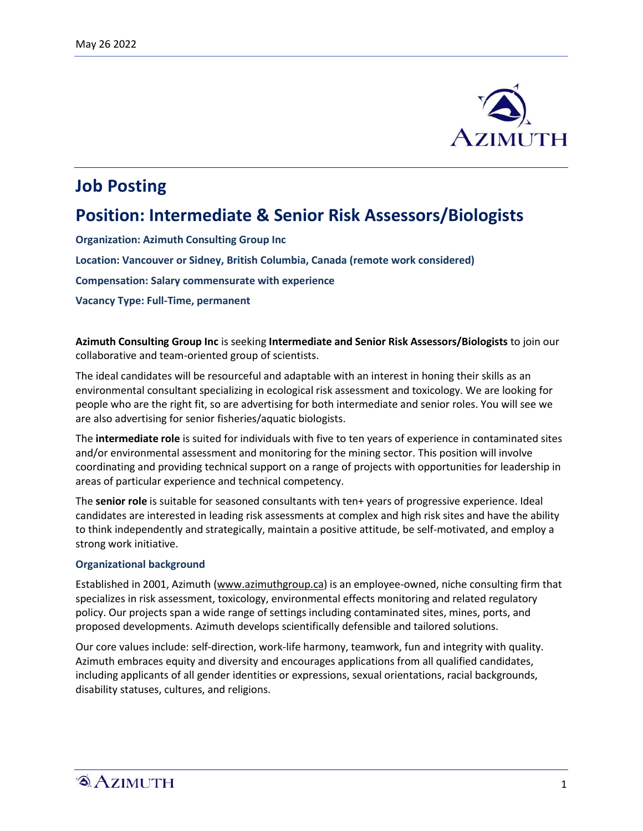

# **Job Posting**

## **Position: Intermediate & Senior Risk Assessors/Biologists**

**Organization: Azimuth Consulting Group Inc**

**Location: Vancouver or Sidney, British Columbia, Canada (remote work considered)**

**Compensation: Salary commensurate with experience**

**Vacancy Type: Full-Time, permanent**

**Azimuth Consulting Group Inc** is seeking **Intermediate and Senior Risk Assessors/Biologists** to join our collaborative and team-oriented group of scientists.

The ideal candidates will be resourceful and adaptable with an interest in honing their skills as an environmental consultant specializing in ecological risk assessment and toxicology. We are looking for people who are the right fit, so are advertising for both intermediate and senior roles. You will see we are also advertising for senior fisheries/aquatic biologists.

The **intermediate role** is suited for individuals with five to ten years of experience in contaminated sites and/or environmental assessment and monitoring for the mining sector. This position will involve coordinating and providing technical support on a range of projects with opportunities for leadership in areas of particular experience and technical competency.

The **senior role** is suitable for seasoned consultants with ten+ years of progressive experience. Ideal candidates are interested in leading risk assessments at complex and high risk sites and have the ability to think independently and strategically, maintain a positive attitude, be self-motivated, and employ a strong work initiative.

#### **Organizational background**

Established in 2001, Azimuth (www.azimuthgroup.ca) is an employee-owned, niche consulting firm that specializes in risk assessment, toxicology, environmental effects monitoring and related regulatory policy. Our projects span a wide range of settings including contaminated sites, mines, ports, and proposed developments. Azimuth develops scientifically defensible and tailored solutions.

Our core values include: self-direction, work-life harmony, teamwork, fun and integrity with quality. Azimuth embraces equity and diversity and encourages applications from all qualified candidates, including applicants of all gender identities or expressions, sexual orientations, racial backgrounds, disability statuses, cultures, and religions.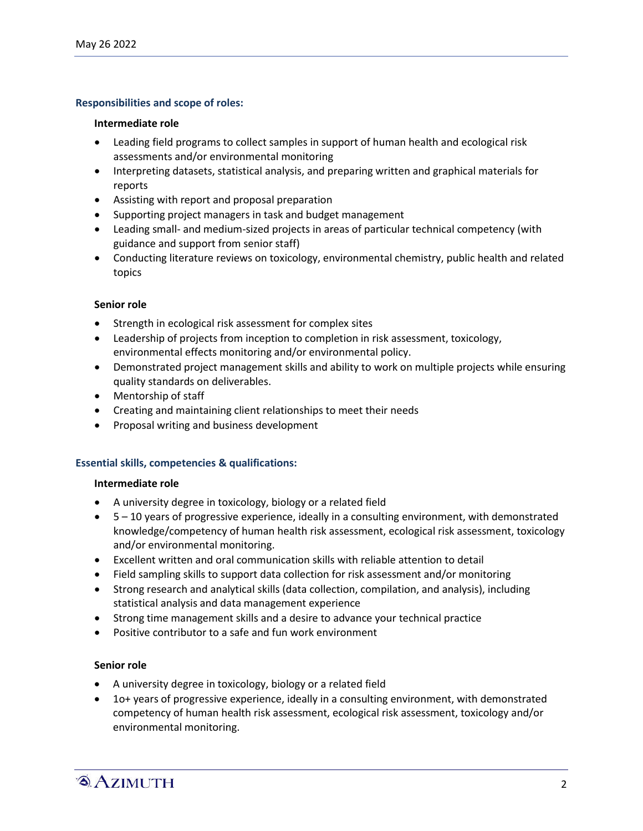## **Responsibilities and scope of roles:**

#### **Intermediate role**

- Leading field programs to collect samples in support of human health and ecological risk assessments and/or environmental monitoring
- Interpreting datasets, statistical analysis, and preparing written and graphical materials for reports
- Assisting with report and proposal preparation
- Supporting project managers in task and budget management
- Leading small- and medium-sized projects in areas of particular technical competency (with guidance and support from senior staff)
- Conducting literature reviews on toxicology, environmental chemistry, public health and related topics

### **Senior role**

- Strength in ecological risk assessment for complex sites
- Leadership of projects from inception to completion in risk assessment, toxicology, environmental effects monitoring and/or environmental policy.
- Demonstrated project management skills and ability to work on multiple projects while ensuring quality standards on deliverables.
- Mentorship of staff
- Creating and maintaining client relationships to meet their needs
- Proposal writing and business development

### **Essential skills, competencies & qualifications:**

#### **Intermediate role**

- A university degree in toxicology, biology or a related field
- 5 10 years of progressive experience, ideally in a consulting environment, with demonstrated knowledge/competency of human health risk assessment, ecological risk assessment, toxicology and/or environmental monitoring.
- Excellent written and oral communication skills with reliable attention to detail
- Field sampling skills to support data collection for risk assessment and/or monitoring
- Strong research and analytical skills (data collection, compilation, and analysis), including statistical analysis and data management experience
- Strong time management skills and a desire to advance your technical practice
- Positive contributor to a safe and fun work environment

### **Senior role**

- A university degree in toxicology, biology or a related field
- 1o+ years of progressive experience, ideally in a consulting environment, with demonstrated competency of human health risk assessment, ecological risk assessment, toxicology and/or environmental monitoring.